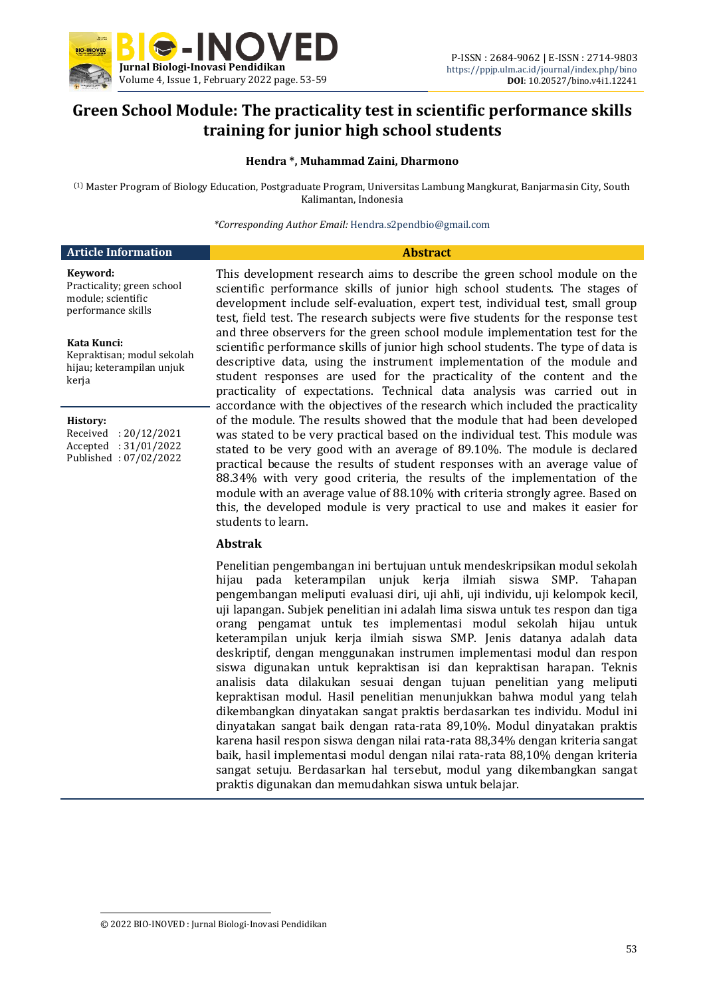

## **Green School Module: The practicality test in scientific performance skills training for junior high school students**

#### **Hendra \*, Muhammad Zaini, Dharmono**

(1) Master Program of Biology Education, Postgraduate Program, Universitas Lambung Mangkurat, Banjarmasin City, South Kalimantan, Indonesia

*\*Corresponding Author Email:* Hendra.s2pendbio@gmail.com

| <b>Article Information</b>                                                         | <b>Abstract</b>                                                                                                                                                                                                               |  |  |
|------------------------------------------------------------------------------------|-------------------------------------------------------------------------------------------------------------------------------------------------------------------------------------------------------------------------------|--|--|
| Kevword:<br>Practicality; green school<br>module; scientific<br>performance skills | This development research aims to describe the gr<br>scientific performance skills of junior high school<br>development include self-evaluation, expert test, in<br>test, field test. The research subjects were five student |  |  |

#### **Kata Kunci:**

Kepraktisan; modul sekolah hijau; keterampilan unjuk kerja

 $\overline{a}$ 

Received : 20/12/2021 Accepted : 31/01/2022 Published : 07/02/2022

reen school module on the ol students. The stages of ndividual test, small group dents for the response test and three observers for the green school module implementation test for the scientific performance skills of junior high school students. The type of data is descriptive data, using the instrument implementation of the module and student responses are used for the practicality of the content and the practicality of expectations. Technical data analysis was carried out in accordance with the objectives of the research which included the practicality of the module. The results showed that the module that had been developed was stated to be very practical based on the individual test. This module was stated to be very good with an average of 89.10%. The module is declared practical because the results of student responses with an average value of 88.34% with very good criteria, the results of the implementation of the module with an average value of 88.10% with criteria strongly agree. Based on this, the developed module is very practical to use and makes it easier for students to learn.

#### **Abstrak**

Penelitian pengembangan ini bertujuan untuk mendeskripsikan modul sekolah hijau pada keterampilan unjuk kerja ilmiah siswa SMP. Tahapan pengembangan meliputi evaluasi diri, uji ahli, uji individu, uji kelompok kecil, uji lapangan. Subjek penelitian ini adalah lima siswa untuk tes respon dan tiga orang pengamat untuk tes implementasi modul sekolah hijau untuk keterampilan unjuk kerja ilmiah siswa SMP. Jenis datanya adalah data deskriptif, dengan menggunakan instrumen implementasi modul dan respon siswa digunakan untuk kepraktisan isi dan kepraktisan harapan. Teknis analisis data dilakukan sesuai dengan tujuan penelitian yang meliputi kepraktisan modul. Hasil penelitian menunjukkan bahwa modul yang telah dikembangkan dinyatakan sangat praktis berdasarkan tes individu. Modul ini dinyatakan sangat baik dengan rata-rata 89,10%. Modul dinyatakan praktis karena hasil respon siswa dengan nilai rata-rata 88,34% dengan kriteria sangat baik, hasil implementasi modul dengan nilai rata-rata 88,10% dengan kriteria sangat setuju. Berdasarkan hal tersebut, modul yang dikembangkan sangat praktis digunakan dan memudahkan siswa untuk belajar.

<sup>© 2022</sup> BIO-INOVED : Jurnal Biologi-Inovasi Pendidikan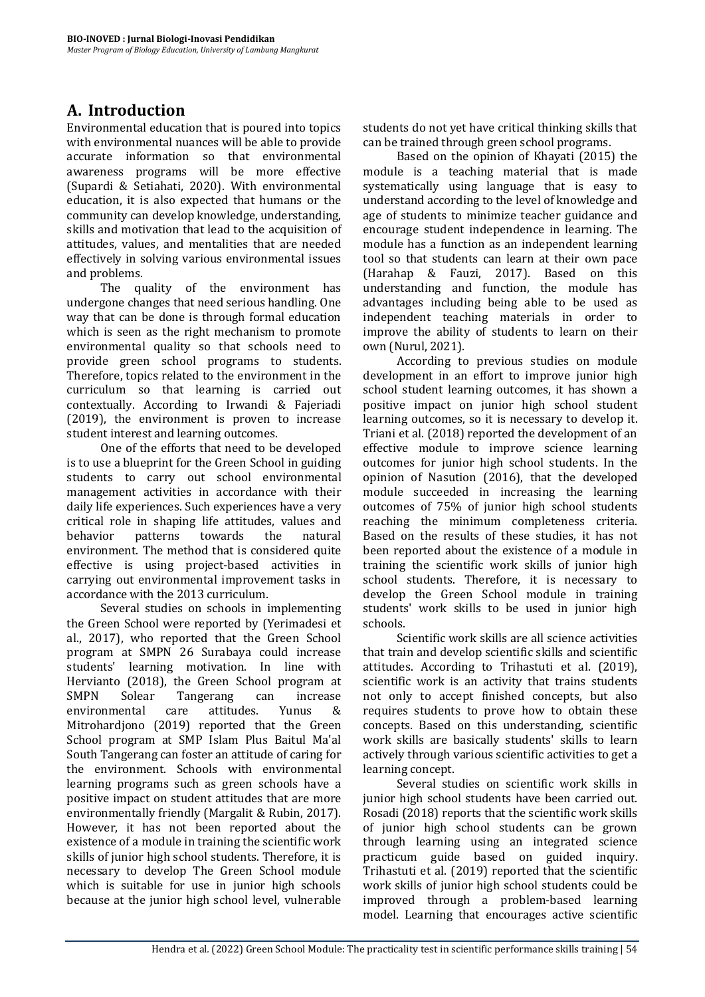# **A. Introduction**

Environmental education that is poured into topics with environmental nuances will be able to provide accurate information so that environmental awareness programs will be more effective (Supardi & Setiahati, 2020). With environmental education, it is also expected that humans or the community can develop knowledge, understanding, skills and motivation that lead to the acquisition of attitudes, values, and mentalities that are needed effectively in solving various environmental issues and problems.

The quality of the environment has undergone changes that need serious handling. One way that can be done is through formal education which is seen as the right mechanism to promote environmental quality so that schools need to provide green school programs to students. Therefore, topics related to the environment in the curriculum so that learning is carried out contextually. According to Irwandi & Fajeriadi (2019), the environment is proven to increase student interest and learning outcomes.

One of the efforts that need to be developed is to use a blueprint for the Green School in guiding students to carry out school environmental management activities in accordance with their daily life experiences. Such experiences have a very critical role in shaping life attitudes, values and behavior patterns towards the natural environment. The method that is considered quite effective is using project-based activities in carrying out environmental improvement tasks in accordance with the 2013 curriculum.

Several studies on schools in implementing the Green School were reported by (Yerimadesi et al., 2017), who reported that the Green School program at SMPN 26 Surabaya could increase students' learning motivation. In line with Hervianto (2018), the Green School program at<br>SMPN Solear Tangerang can increase Solear Tangerang can increase environmental care attitudes. Yunus & Mitrohardjono (2019) reported that the Green School program at SMP Islam Plus Baitul Ma'al South Tangerang can foster an attitude of caring for the environment. Schools with environmental learning programs such as green schools have a positive impact on student attitudes that are more environmentally friendly (Margalit & Rubin, 2017). However, it has not been reported about the existence of a module in training the scientific work skills of junior high school students. Therefore, it is necessary to develop The Green School module which is suitable for use in junior high schools because at the junior high school level, vulnerable

students do not yet have critical thinking skills that can be trained through green school programs.

Based on the opinion of Khayati (2015) the module is a teaching material that is made systematically using language that is easy to understand according to the level of knowledge and age of students to minimize teacher guidance and encourage student independence in learning. The module has a function as an independent learning tool so that students can learn at their own pace (Harahap & Fauzi, 2017). Based on this understanding and function, the module has advantages including being able to be used as independent teaching materials in order to improve the ability of students to learn on their own (Nurul, 2021).

According to previous studies on module development in an effort to improve junior high school student learning outcomes, it has shown a positive impact on junior high school student learning outcomes, so it is necessary to develop it. Triani et al. (2018) reported the development of an effective module to improve science learning outcomes for junior high school students. In the opinion of Nasution (2016), that the developed module succeeded in increasing the learning outcomes of 75% of junior high school students reaching the minimum completeness criteria. Based on the results of these studies, it has not been reported about the existence of a module in training the scientific work skills of junior high school students. Therefore, it is necessary to develop the Green School module in training students' work skills to be used in junior high schools.

Scientific work skills are all science activities that train and develop scientific skills and scientific attitudes. According to Trihastuti et al. (2019), scientific work is an activity that trains students not only to accept finished concepts, but also requires students to prove how to obtain these concepts. Based on this understanding, scientific work skills are basically students' skills to learn actively through various scientific activities to get a learning concept.

Several studies on scientific work skills in junior high school students have been carried out. Rosadi (2018) reports that the scientific work skills of junior high school students can be grown through learning using an integrated science practicum guide based on guided inquiry. Trihastuti et al. (2019) reported that the scientific work skills of junior high school students could be improved through a problem-based learning model. Learning that encourages active scientific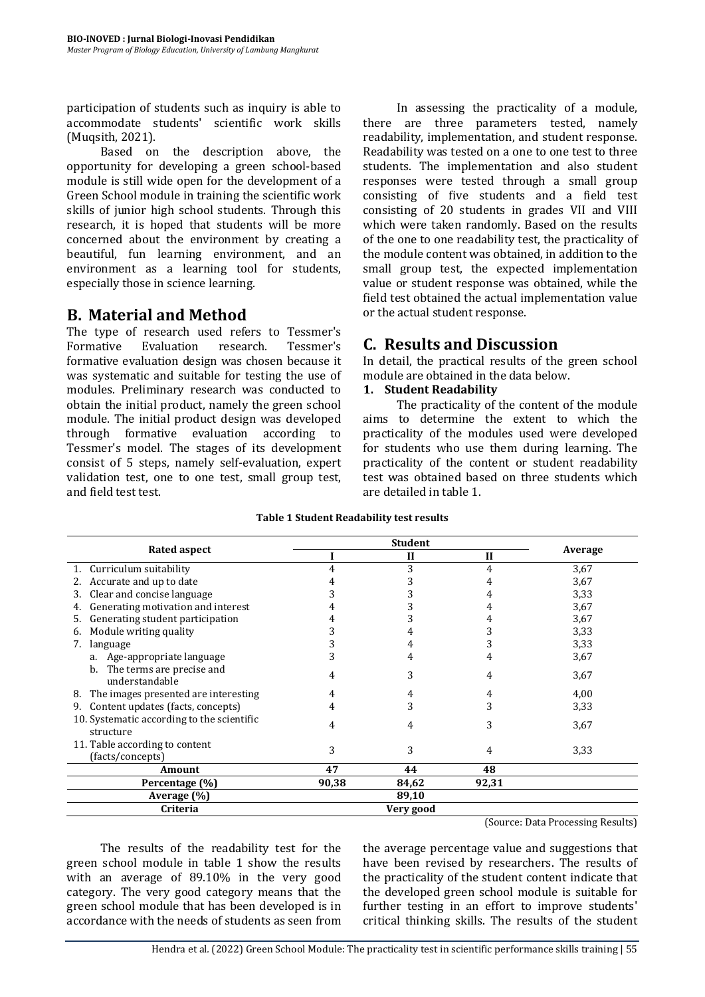participation of students such as inquiry is able to accommodate students' scientific work skills (Muqsith, 2021).

Based on the description above, the opportunity for developing a green school-based module is still wide open for the development of a Green School module in training the scientific work skills of junior high school students. Through this research, it is hoped that students will be more concerned about the environment by creating a beautiful, fun learning environment, and an environment as a learning tool for students, especially those in science learning.

### **B. Material and Method**

The type of research used refers to Tessmer's Formative Evaluation research. Tessmer's formative evaluation design was chosen because it was systematic and suitable for testing the use of modules. Preliminary research was conducted to obtain the initial product, namely the green school module. The initial product design was developed through formative evaluation according to Tessmer's model. The stages of its development consist of 5 steps, namely self-evaluation, expert validation test, one to one test, small group test, and field test test.

In assessing the practicality of a module, there are three parameters tested, namely readability, implementation, and student response. Readability was tested on a one to one test to three students. The implementation and also student responses were tested through a small group consisting of five students and a field test consisting of 20 students in grades VII and VIII which were taken randomly. Based on the results of the one to one readability test, the practicality of the module content was obtained, in addition to the small group test, the expected implementation value or student response was obtained, while the field test obtained the actual implementation value or the actual student response.

### **C. Results and Discussion**

In detail, the practical results of the green school module are obtained in the data below.

### **1. Student Readability**

The practicality of the content of the module aims to determine the extent to which the practicality of the modules used were developed for students who use them during learning. The practicality of the content or student readability test was obtained based on three students which are detailed in table 1.

|                                                         | <b>Student</b> |           |              |         |
|---------------------------------------------------------|----------------|-----------|--------------|---------|
| Rated aspect                                            |                | H         | $\mathbf{I}$ | Average |
| 1. Curriculum suitability                               | 4              | 3         | 4            | 3,67    |
| 2. Accurate and up to date                              |                | 3         |              | 3,67    |
| Clear and concise language<br>3.                        |                |           |              | 3,33    |
| Generating motivation and interest<br>4.                |                | 3         |              | 3,67    |
| Generating student participation<br>5.                  |                | 3         |              | 3,67    |
| Module writing quality<br>6.                            | 5.             | 4         |              | 3,33    |
| language<br>7.                                          | 3              | 4         |              | 3,33    |
| a. Age-appropriate language                             | 3              | 4         | 4            | 3,67    |
| b. The terms are precise and<br>understandable          | 4              | 3         | 4            | 3,67    |
| 8. The images presented are interesting                 |                | 4         | 4            | 4,00    |
| Content updates (facts, concepts)<br>9.                 | 4              | 3         | 3            | 3,33    |
| 10. Systematic according to the scientific<br>structure | 4              | 4         | 3            | 3,67    |
| 11. Table according to content<br>(facts/concepts)      | 3              | 3         | 4            | 3,33    |
| <b>Amount</b>                                           | 47             | 44        | 48           |         |
| Percentage (%)                                          | 90,38          | 84,62     | 92,31        |         |
| Average (%)                                             |                | 89,10     |              |         |
| Criteria                                                |                | Very good |              |         |

(Source: Data Processing Results)

The results of the readability test for the green school module in table 1 show the results with an average of 89.10% in the very good category. The very good category means that the green school module that has been developed is in accordance with the needs of students as seen from

the average percentage value and suggestions that have been revised by researchers. The results of the practicality of the student content indicate that the developed green school module is suitable for further testing in an effort to improve students' critical thinking skills. The results of the student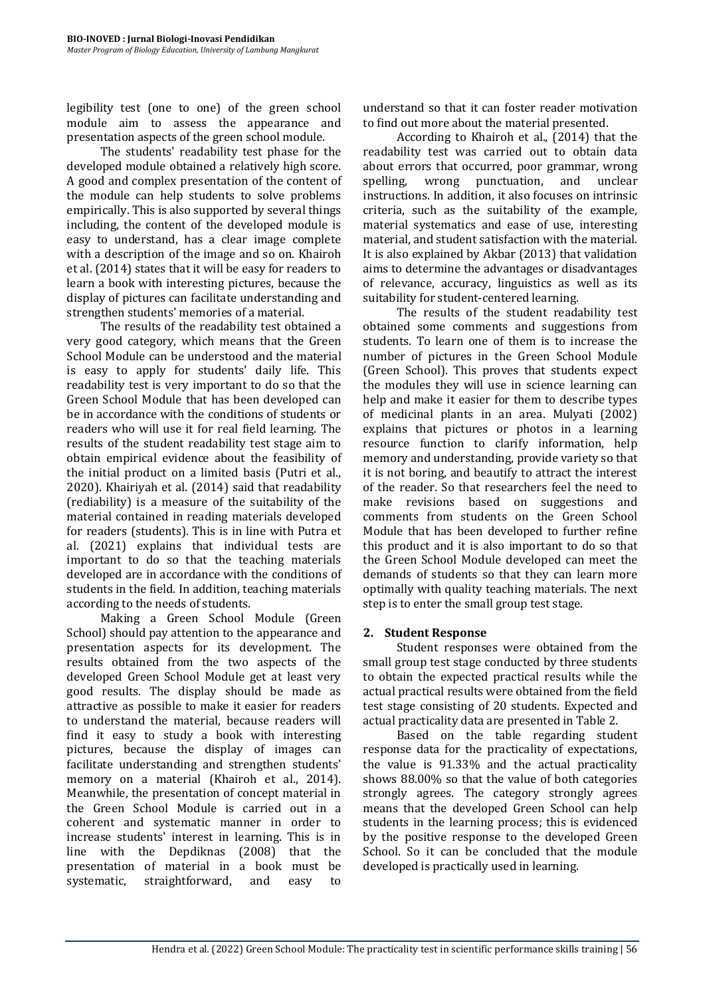legibility test (one to one) of the green school module aim to assess the appearance and presentation aspects of the green school module.

The students' readability test phase for the developed module obtained a relatively high score. A good and complex presentation of the content of the module can help students to solve problems empirically. This is also supported by several things including, the content of the developed module is easy to understand, has a clear image complete with a description of the image and so on. Khairoh et al. (2014) states that it will be easy for readers to learn a book with interesting pictures, because the display of pictures can facilitate understanding and strengthen students' memories of a material.

The results of the readability test obtained a very good category, which means that the Green School Module can be understood and the material is easy to apply for students' daily life. This readability test is very important to do so that the Green School Module that has been developed can be in accordance with the conditions of students or readers who will use it for real field learning. The results of the student readability test stage aim to obtain empirical evidence about the feasibility of the initial product on a limited basis (Putri et al., 2020). Khairiyah et al. (2014) said that readability (rediability) is a measure of the suitability of the material contained in reading materials developed for readers (students). This is in line with Putra et al. (2021) explains that individual tests are important to do so that the teaching materials developed are in accordance with the conditions of students in the field. In addition, teaching materials according to the needs of students.

Making a Green School Module (Green School) should pay attention to the appearance and presentation aspects for its development. The results obtained from the two aspects of the developed Green School Module get at least very good results. The display should be made as attractive as possible to make it easier for readers to understand the material, because readers will find it easy to study a book with interesting pictures, because the display of images can facilitate understanding and strengthen students' memory on a material (Khairoh et al., 2014). Meanwhile, the presentation of concept material in the Green School Module is carried out in a coherent and systematic manner in order to increase students' interest in learning. This is in line with the Depdiknas (2008) that the presentation of material in a book must be systematic, straightforward, and easy to

understand so that it can foster reader motivation to find out more about the material presented.

According to Khairoh et al., (2014) that the readability test was carried out to obtain data about errors that occurred, poor grammar, wrong spelling, wrong punctuation, and unclear instructions. In addition, it also focuses on intrinsic criteria, such as the suitability of the example, material systematics and ease of use, interesting material, and student satisfaction with the material. It is also explained by Akbar (2013) that validation aims to determine the advantages or disadvantages of relevance, accuracy, linguistics as well as its suitability for student-centered learning.

The results of the student readability test obtained some comments and suggestions from students. To learn one of them is to increase the number of pictures in the Green School Module (Green School). This proves that students expect the modules they will use in science learning can help and make it easier for them to describe types of medicinal plants in an area. Mulyati (2002) explains that pictures or photos in a learning resource function to clarify information, help memory and understanding, provide variety so that it is not boring, and beautify to attract the interest of the reader. So that researchers feel the need to make revisions based on suggestions and comments from students on the Green School Module that has been developed to further refine this product and it is also important to do so that the Green School Module developed can meet the demands of students so that they can learn more optimally with quality teaching materials. The next step is to enter the small group test stage.

### **2. Student Response**

Student responses were obtained from the small group test stage conducted by three students to obtain the expected practical results while the actual practical results were obtained from the field test stage consisting of 20 students. Expected and actual practicality data are presented in Table 2.

Based on the table regarding student response data for the practicality of expectations, the value is 91.33% and the actual practicality shows 88.00% so that the value of both categories strongly agrees. The category strongly agrees means that the developed Green School can help students in the learning process; this is evidenced by the positive response to the developed Green School. So it can be concluded that the module developed is practically used in learning.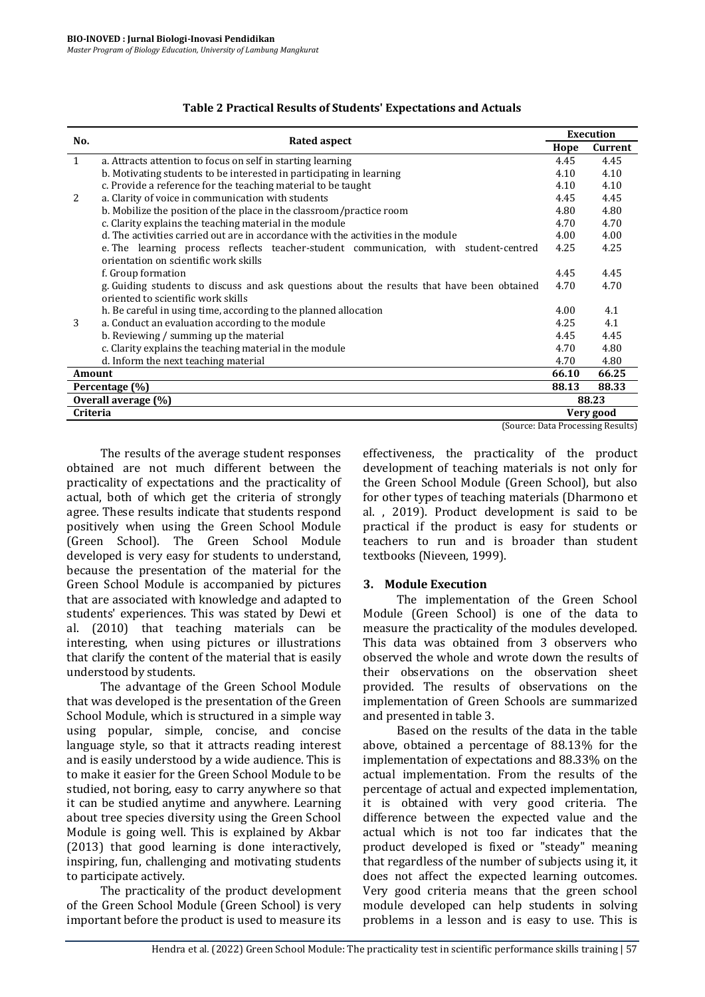|                 |                                                                                            |       | <b>Execution</b>                  |  |
|-----------------|--------------------------------------------------------------------------------------------|-------|-----------------------------------|--|
| No.             | <b>Rated aspect</b>                                                                        | Hope  | Current                           |  |
| $\mathbf{1}$    | a. Attracts attention to focus on self in starting learning                                | 4.45  | 4.45                              |  |
|                 | b. Motivating students to be interested in participating in learning                       | 4.10  | 4.10                              |  |
|                 | c. Provide a reference for the teaching material to be taught                              | 4.10  | 4.10                              |  |
| 2               | a. Clarity of voice in communication with students                                         | 4.45  | 4.45                              |  |
|                 | b. Mobilize the position of the place in the classroom/practice room                       | 4.80  | 4.80                              |  |
|                 | c. Clarity explains the teaching material in the module                                    | 4.70  | 4.70                              |  |
|                 | d. The activities carried out are in accordance with the activities in the module          | 4.00  | 4.00                              |  |
|                 | e. The learning process reflects teacher-student communication, with student-centred       | 4.25  | 4.25                              |  |
|                 | orientation on scientific work skills                                                      |       |                                   |  |
|                 | f. Group formation                                                                         | 4.45  | 4.45                              |  |
|                 | g. Guiding students to discuss and ask questions about the results that have been obtained | 4.70  | 4.70                              |  |
|                 | oriented to scientific work skills                                                         |       |                                   |  |
|                 | h. Be careful in using time, according to the planned allocation                           | 4.00  | 4.1                               |  |
| 3               | a. Conduct an evaluation according to the module                                           | 4.25  | 4.1                               |  |
|                 | b. Reviewing / summing up the material                                                     | 4.45  | 4.45                              |  |
|                 | c. Clarity explains the teaching material in the module                                    | 4.70  | 4.80                              |  |
|                 | d. Inform the next teaching material                                                       | 4.70  | 4.80                              |  |
| Amount          |                                                                                            | 66.10 | 66.25                             |  |
|                 | Percentage (%)                                                                             | 88.13 | 88.33                             |  |
|                 | Overall average (%)                                                                        |       | 88.23                             |  |
| <b>Criteria</b> |                                                                                            |       | Very good                         |  |
|                 |                                                                                            |       | (Source: Data Processing Results) |  |

#### **Table 2 Practical Results of Students' Expectations and Actuals**

The results of the average student responses obtained are not much different between the practicality of expectations and the practicality of actual, both of which get the criteria of strongly agree. These results indicate that students respond positively when using the Green School Module (Green School). The Green School Module developed is very easy for students to understand, because the presentation of the material for the Green School Module is accompanied by pictures that are associated with knowledge and adapted to students' experiences. This was stated by Dewi et al. (2010) that teaching materials can be interesting, when using pictures or illustrations that clarify the content of the material that is easily understood by students.

The advantage of the Green School Module that was developed is the presentation of the Green School Module, which is structured in a simple way using popular, simple, concise, and concise language style, so that it attracts reading interest and is easily understood by a wide audience. This is to make it easier for the Green School Module to be studied, not boring, easy to carry anywhere so that it can be studied anytime and anywhere. Learning about tree species diversity using the Green School Module is going well. This is explained by Akbar (2013) that good learning is done interactively, inspiring, fun, challenging and motivating students to participate actively.

The practicality of the product development of the Green School Module (Green School) is very important before the product is used to measure its

effectiveness, the practicality of the product development of teaching materials is not only for the Green School Module (Green School), but also for other types of teaching materials (Dharmono et al. , 2019). Product development is said to be practical if the product is easy for students or teachers to run and is broader than student textbooks (Nieveen, 1999).

### **3. Module Execution**

The implementation of the Green School Module (Green School) is one of the data to measure the practicality of the modules developed. This data was obtained from 3 observers who observed the whole and wrote down the results of their observations on the observation sheet provided. The results of observations on the implementation of Green Schools are summarized and presented in table 3.

Based on the results of the data in the table above, obtained a percentage of 88.13% for the implementation of expectations and 88.33% on the actual implementation. From the results of the percentage of actual and expected implementation, it is obtained with very good criteria. The difference between the expected value and the actual which is not too far indicates that the product developed is fixed or "steady" meaning that regardless of the number of subjects using it, it does not affect the expected learning outcomes. Very good criteria means that the green school module developed can help students in solving problems in a lesson and is easy to use. This is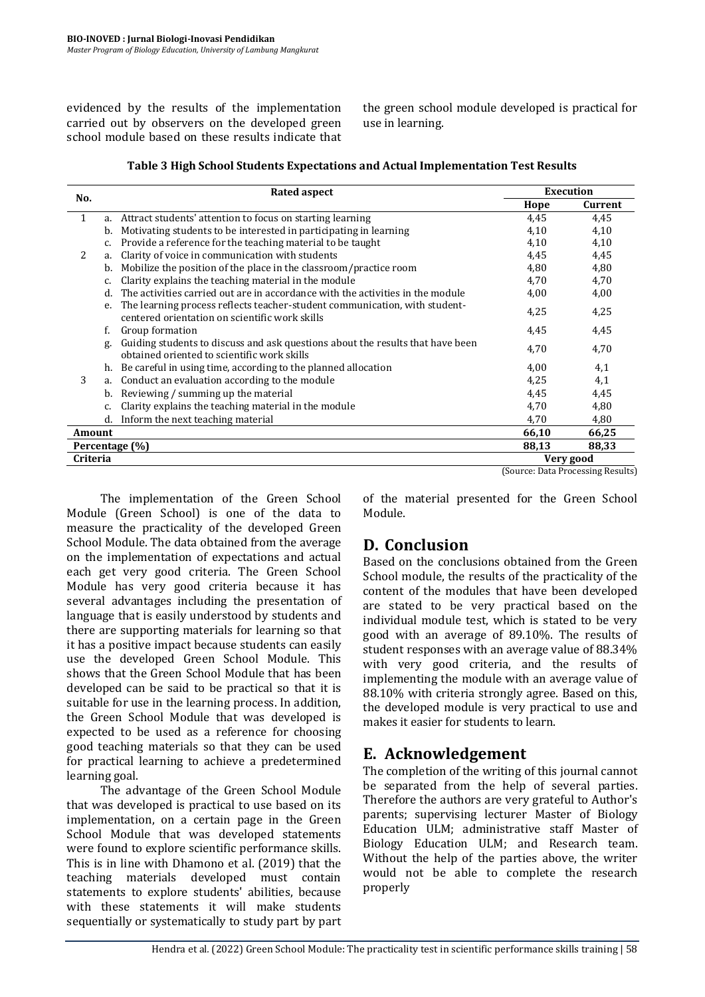evidenced by the results of the implementation carried out by observers on the developed green school module based on these results indicate that the green school module developed is practical for use in learning.

|                 |    | <b>Rated aspect</b>                                                                                                           | <b>Execution</b> |                                   |
|-----------------|----|-------------------------------------------------------------------------------------------------------------------------------|------------------|-----------------------------------|
| No.             |    |                                                                                                                               | Hope             | Current                           |
| 1               |    | a. Attract students' attention to focus on starting learning                                                                  | 4,45             | 4,45                              |
|                 | b. | Motivating students to be interested in participating in learning                                                             | 4,10             | 4,10                              |
|                 | c. | Provide a reference for the teaching material to be taught                                                                    | 4,10             | 4,10                              |
| 2               | a. | Clarity of voice in communication with students                                                                               | 4,45             | 4,45                              |
|                 | b. | Mobilize the position of the place in the classroom/practice room                                                             | 4,80             | 4,80                              |
|                 |    | Clarity explains the teaching material in the module                                                                          | 4,70             | 4,70                              |
|                 | d. | The activities carried out are in accordance with the activities in the module                                                | 4,00             | 4,00                              |
|                 | e. | The learning process reflects teacher-student communication, with student-<br>centered orientation on scientific work skills  | 4,25             | 4,25                              |
|                 | f. | Group formation                                                                                                               | 4,45             | 4,45                              |
|                 | g. | Guiding students to discuss and ask questions about the results that have been<br>obtained oriented to scientific work skills | 4,70             | 4,70                              |
|                 |    | h. Be careful in using time, according to the planned allocation                                                              | 4,00             | 4,1                               |
| 3               | a. | Conduct an evaluation according to the module                                                                                 | 4,25             | 4,1                               |
|                 | b. | Reviewing / summing up the material                                                                                           | 4,45             | 4,45                              |
|                 | c. | Clarity explains the teaching material in the module                                                                          | 4,70             | 4,80                              |
|                 | d. | Inform the next teaching material                                                                                             | 4,70             | 4,80                              |
| Amount          |    |                                                                                                                               | 66,10            | 66,25                             |
|                 |    | Percentage (%)                                                                                                                | 88,13            | 88,33                             |
| <b>Criteria</b> |    |                                                                                                                               |                  | Very good                         |
|                 |    |                                                                                                                               |                  | (Source: Data Processing Results) |

| Table 3 High School Students Expectations and Actual Implementation Test Results |  |  |
|----------------------------------------------------------------------------------|--|--|
|                                                                                  |  |  |

The implementation of the Green School Module (Green School) is one of the data to measure the practicality of the developed Green School Module. The data obtained from the average on the implementation of expectations and actual each get very good criteria. The Green School Module has very good criteria because it has several advantages including the presentation of language that is easily understood by students and there are supporting materials for learning so that it has a positive impact because students can easily use the developed Green School Module. This shows that the Green School Module that has been developed can be said to be practical so that it is suitable for use in the learning process. In addition, the Green School Module that was developed is expected to be used as a reference for choosing good teaching materials so that they can be used for practical learning to achieve a predetermined learning goal.

The advantage of the Green School Module that was developed is practical to use based on its implementation, on a certain page in the Green School Module that was developed statements were found to explore scientific performance skills. This is in line with Dhamono et al. (2019) that the teaching materials developed must contain statements to explore students' abilities, because with these statements it will make students sequentially or systematically to study part by part of the material presented for the Green School Module.

## **D. Conclusion**

Based on the conclusions obtained from the Green School module, the results of the practicality of the content of the modules that have been developed are stated to be very practical based on the individual module test, which is stated to be very good with an average of 89.10%. The results of student responses with an average value of 88.34% with very good criteria, and the results of implementing the module with an average value of 88.10% with criteria strongly agree. Based on this, the developed module is very practical to use and makes it easier for students to learn.

## **E. Acknowledgement**

The completion of the writing of this journal cannot be separated from the help of several parties. Therefore the authors are very grateful to Author's parents; supervising lecturer Master of Biology Education ULM; administrative staff Master of Biology Education ULM; and Research team. Without the help of the parties above, the writer would not be able to complete the research properly